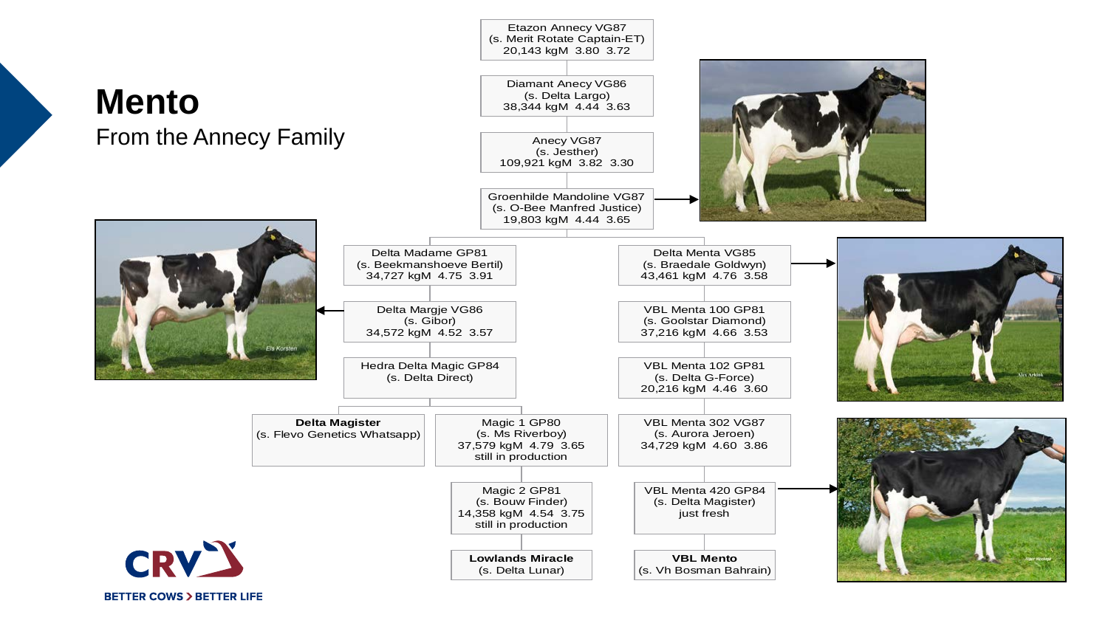